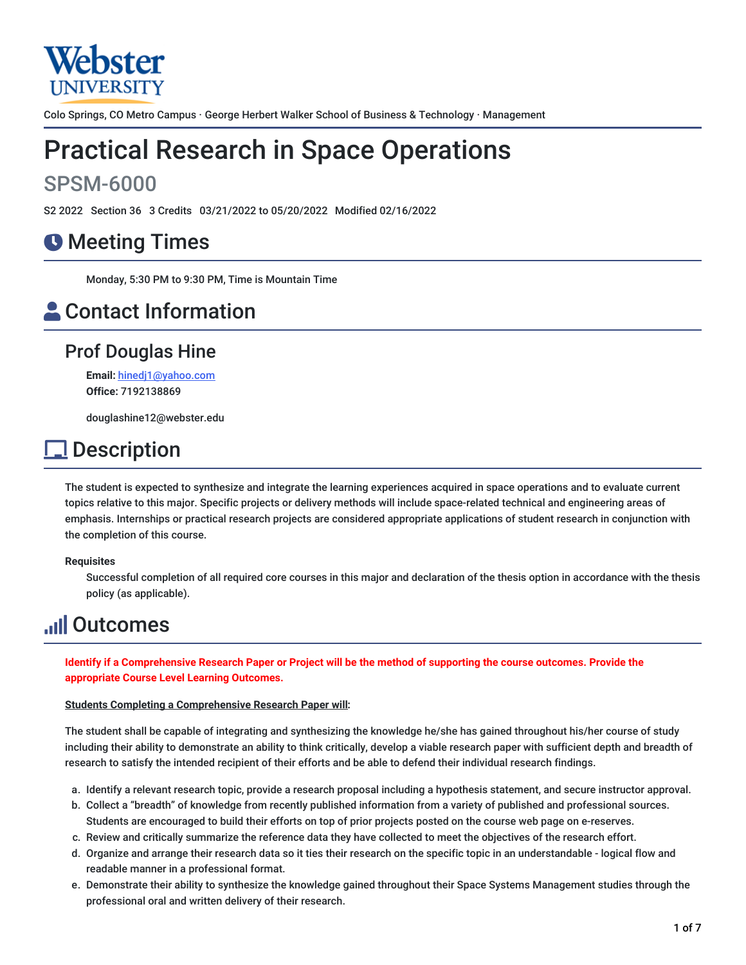

Colo Springs, CO Metro Campus · George Herbert Walker School of Business & Technology · Management

# Practical Research in Space Operations

## SPSM-6000

S2 2022 Section 36 3 Credits 03/21/2022 to 05/20/2022 Modified 02/16/2022

## **O** Meeting Times

Monday, 5:30 PM to 9:30 PM, Time is Mountain Time

## **A** Contact Information

## Prof Douglas Hine

**Email:** [hinedj1@yahoo.com](mailto:hinedj1@yahoo.com) **Office:** 7192138869

douglashine12@webster.edu

## **Description**

The student is expected to synthesize and integrate the learning experiences acquired in space operations and to evaluate current topics relative to this major. Specific projects or delivery methods will include space-related technical and engineering areas of emphasis. Internships or practical research projects are considered appropriate applications of student research in conjunction with the completion of this course.

#### **Requisites**

Successful completion of all required core courses in this major and declaration of the thesis option in accordance with the thesis policy (as applicable).

## **Juli Outcomes**

Identify if a Comprehensive Research Paper or Project will be the method of supporting the course outcomes. Provide the **appropriate Course Level Learning Outcomes.**

#### **Students Completing a Comprehensive Research Paper will:**

The student shall be capable of integrating and synthesizing the knowledge he/she has gained throughout his/her course of study including their ability to demonstrate an ability to think critically, develop a viable research paper with sufficient depth and breadth of research to satisfy the intended recipient of their efforts and be able to defend their individual research findings.

- a. Identify a relevant research topic, provide a research proposal including a hypothesis statement, and secure instructor approval.
- b. Collect a "breadth" of knowledge from recently published information from a variety of published and professional sources. Students are encouraged to build their efforts on top of prior projects posted on the course web page on e-reserves.
- c. Review and critically summarize the reference data they have collected to meet the objectives of the research effort.
- d. Organize and arrange their research data so it ties their research on the specific topic in an understandable logical flow and readable manner in a professional format.
- e. Demonstrate their ability to synthesize the knowledge gained throughout their Space Systems Management studies through the professional oral and written delivery of their research.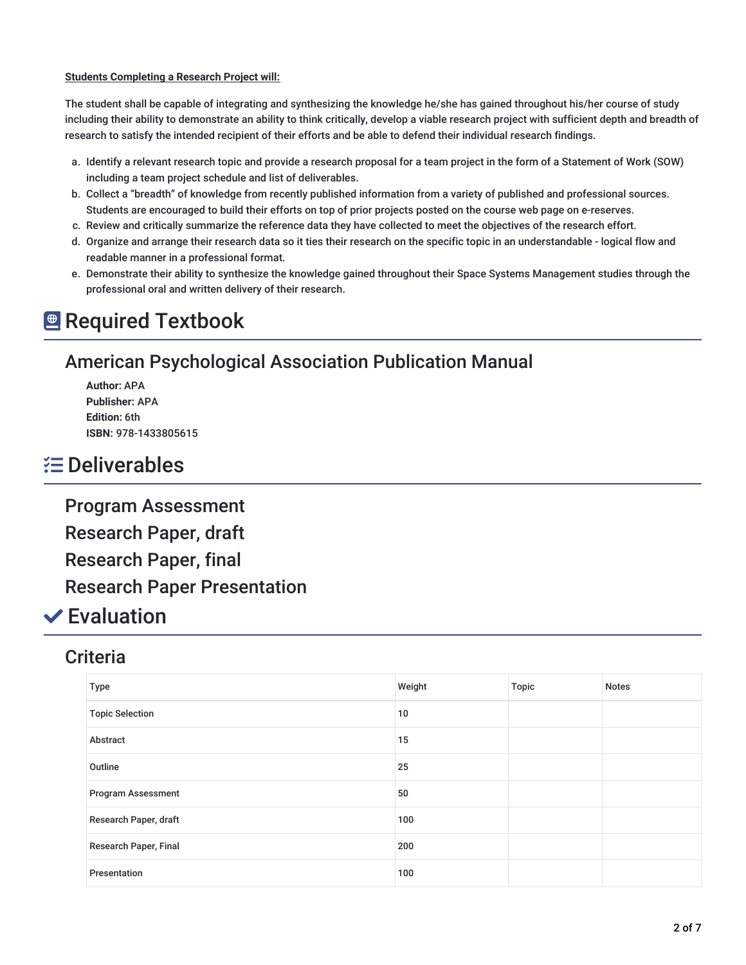#### **Students Completing a Research Project will:**

The student shall be capable of integrating and synthesizing the knowledge he/she has gained throughout his/her course of study including their ability to demonstrate an ability to think critically, develop a viable research project with sufficient depth and breadth of research to satisfy the intended recipient of their efforts and be able to defend their individual research findings.

- a. Identify a relevant research topic and provide a research proposal for a team project in the form of a Statement of Work (SOW) including a team project schedule and list of deliverables.
- b. Collect a "breadth" of knowledge from recently published information from a variety of published and professional sources. Students are encouraged to build their efforts on top of prior projects posted on the course web page on e-reserves.
- c. Review and critically summarize the reference data they have collected to meet the objectives of the research effort.
- d. Organize and arrange their research data so it ties their research on the specific topic in an understandable logical flow and readable manner in a professional format.
- e. Demonstrate their ability to synthesize the knowledge gained throughout their Space Systems Management studies through the professional oral and written delivery of their research.

## **E** Required Textbook

## American Psychological Association Publication Manual

**Author:** APA **Publisher:** APA **Edition:** 6th **ISBN:** 978-1433805615

## Deliverables

Program Assessment

Research Paper, draft

Research Paper, final

Research Paper Presentation

## Evaluation

### **Criteria**

| Type                      | Weight | Topic | <b>Notes</b> |
|---------------------------|--------|-------|--------------|
| <b>Topic Selection</b>    | 10     |       |              |
| Abstract                  | 15     |       |              |
| Outline                   | 25     |       |              |
| <b>Program Assessment</b> | 50     |       |              |
| Research Paper, draft     | 100    |       |              |
| Research Paper, Final     | 200    |       |              |
| Presentation              | 100    |       |              |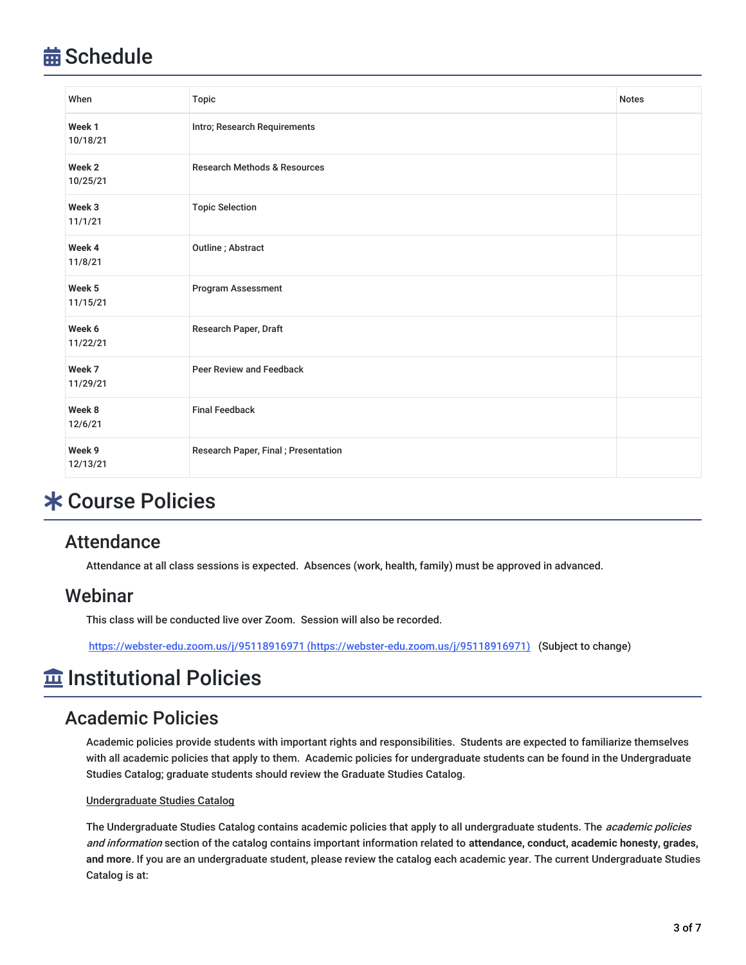## **益 Schedule**

| When                          | <b>Topic</b>                            | <b>Notes</b> |
|-------------------------------|-----------------------------------------|--------------|
| Week 1<br>10/18/21            | Intro; Research Requirements            |              |
| Week <sub>2</sub><br>10/25/21 | <b>Research Methods &amp; Resources</b> |              |
| Week 3<br>11/1/21             | <b>Topic Selection</b>                  |              |
| Week 4<br>11/8/21             | Outline; Abstract                       |              |
| Week <sub>5</sub><br>11/15/21 | Program Assessment                      |              |
| Week 6<br>11/22/21            | Research Paper, Draft                   |              |
| Week 7<br>11/29/21            | Peer Review and Feedback                |              |
| Week 8<br>12/6/21             | <b>Final Feedback</b>                   |              |
| Week 9<br>12/13/21            | Research Paper, Final; Presentation     |              |

## Course Policies

### **Attendance**

Attendance at all class sessions is expected. Absences (work, health, family) must be approved in advanced.

### **Webinar**

This class will be conducted live over Zoom. Session will also be recorded.

https://webster-edu.zoom.us/j/95118916971 [\(https://webster-edu.zoom.us/j/95118916971\)](https://webster-edu.zoom.us/j/95118916971) (Subject to change)

## $\widehat{\mathbf{m}}$  Institutional Policies

### Academic Policies

Academic policies provide students with important rights and responsibilities. Students are expected to familiarize themselves with all academic policies that apply to them. Academic policies for undergraduate students can be found in the Undergraduate Studies Catalog; graduate students should review the Graduate Studies Catalog.

#### Undergraduate Studies Catalog

The Undergraduate Studies Catalog contains academic policies that apply to all undergraduate students. The academic policies and information section of the catalog contains important information related to **attendance, conduct, academic honesty, grades, and more**. If you are an undergraduate student, please review the catalog each academic year. The current Undergraduate Studies Catalog is at: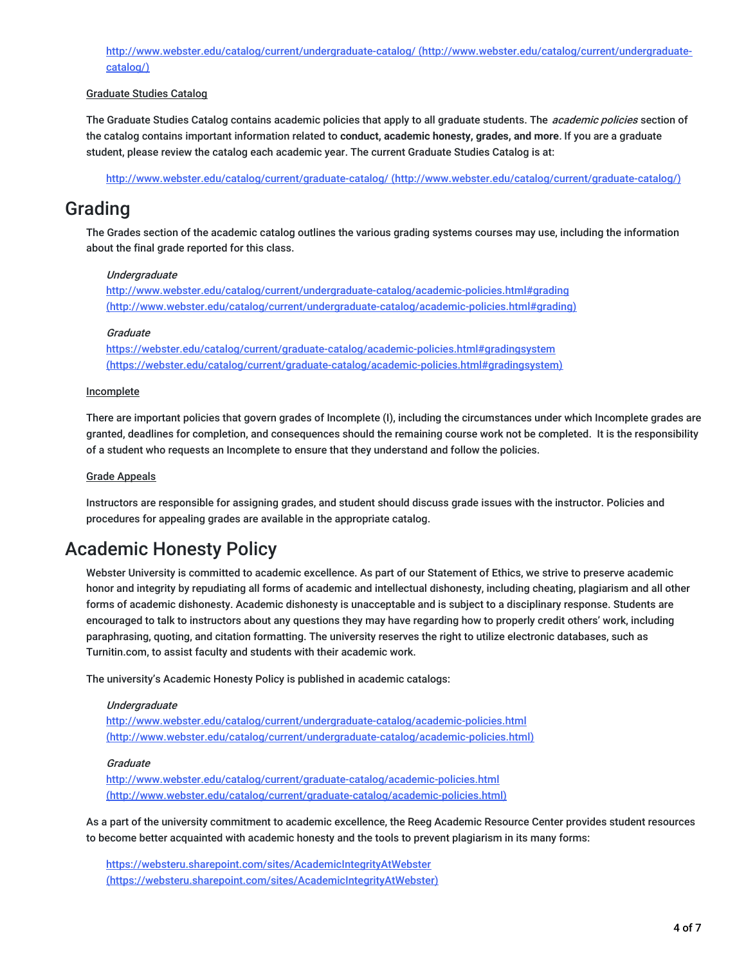<http://www.webster.edu/catalog/current/undergraduate-catalog/> (http://www.webster.edu/catalog/current/undergraduatecatalog/)

#### Graduate Studies Catalog

The Graduate Studies Catalog contains academic policies that apply to all graduate students. The *academic policies* section of the catalog contains important information related to **conduct, academic honesty, grades, and more**. If you are a graduate student, please review the catalog each academic year. The current Graduate Studies Catalog is at:

http://www.webster.edu/catalog/current/graduate-catalog/ [\(http://www.webster.edu/catalog/current/graduate-catalog/\)](http://www.webster.edu/catalog/current/graduate-catalog/)

### Grading

The Grades section of the academic catalog outlines the various grading systems courses may use, including the information about the final grade reported for this class.

#### Undergraduate

<http://www.webster.edu/catalog/current/undergraduate-catalog/academic-policies.html#grading> (http://www.webster.edu/catalog/current/undergraduate-catalog/academic-policies.html#grading)

#### **Graduate**

<https://webster.edu/catalog/current/graduate-catalog/academic-policies.html#gradingsystem> (https://webster.edu/catalog/current/graduate-catalog/academic-policies.html#gradingsystem)

#### **Incomplete**

There are important policies that govern grades of Incomplete (I), including the circumstances under which Incomplete grades are granted, deadlines for completion, and consequences should the remaining course work not be completed. It is the responsibility of a student who requests an Incomplete to ensure that they understand and follow the policies.

#### Grade Appeals

Instructors are responsible for assigning grades, and student should discuss grade issues with the instructor. Policies and procedures for appealing grades are available in the appropriate catalog.

### Academic Honesty Policy

Webster University is committed to academic excellence. As part of our Statement of Ethics, we strive to preserve academic honor and integrity by repudiating all forms of academic and intellectual dishonesty, including cheating, plagiarism and all other forms of academic dishonesty. Academic dishonesty is unacceptable and is subject to a disciplinary response. Students are encouraged to talk to instructors about any questions they may have regarding how to properly credit others' work, including paraphrasing, quoting, and citation formatting. The university reserves the right to utilize electronic databases, such as Turnitin.com, to assist faculty and students with their academic work.

The university's Academic Honesty Policy is published in academic catalogs:

#### Undergraduate

http://www.webster.edu/catalog/current/undergraduate-catalog/academic-policies.html [\(http://www.webster.edu/catalog/current/undergraduate-catalog/academic-policies.html\)](http://www.webster.edu/catalog/current/undergraduate-catalog/academic-policies.html)

#### **Graduate**

http://www.webster.edu/catalog/current/graduate-catalog/academic-policies.html [\(http://www.webster.edu/catalog/current/graduate-catalog/academic-policies.html\)](http://www.webster.edu/catalog/current/graduate-catalog/academic-policies.html)

As a part of the university commitment to academic excellence, the Reeg Academic Resource Center provides student resources to become better acquainted with academic honesty and the tools to prevent plagiarism in its many forms:

https://websteru.sharepoint.com/sites/AcademicIntegrityAtWebster [\(https://websteru.sharepoint.com/sites/AcademicIntegrityAtWebster\)](https://websteru.sharepoint.com/sites/AcademicIntegrityAtWebster)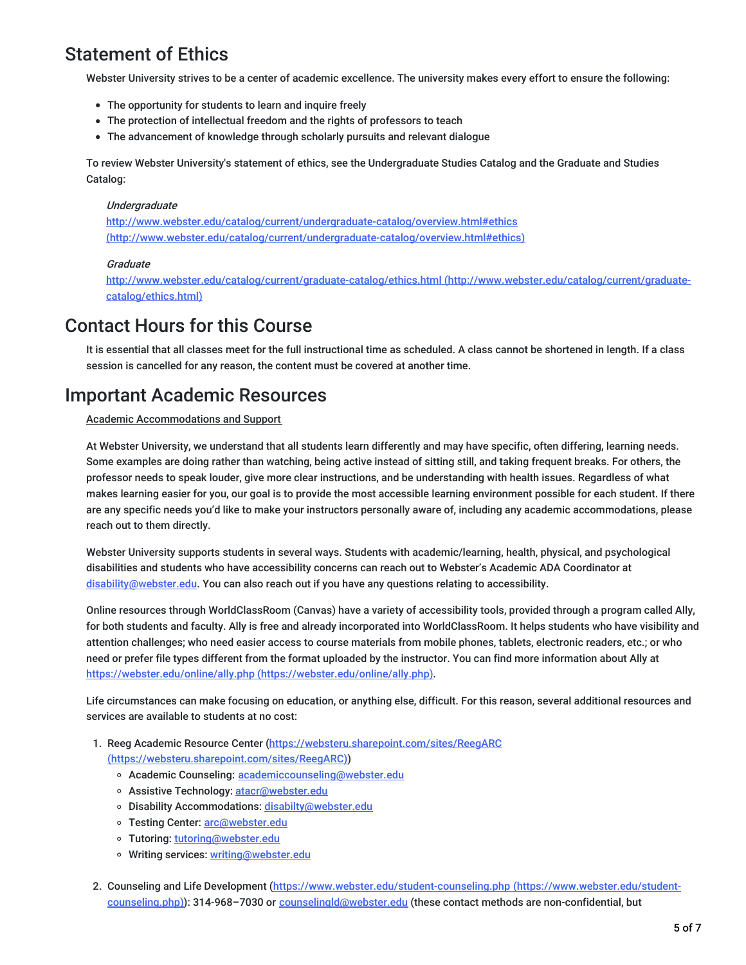## Statement of Ethics

Webster University strives to be a center of academic excellence. The university makes every effort to ensure the following:

- The opportunity for students to learn and inquire freely
- The protection of intellectual freedom and the rights of professors to teach
- The advancement of knowledge through scholarly pursuits and relevant dialogue

To review Webster University's statement of ethics, see the Undergraduate Studies Catalog and the Graduate and Studies Catalog:

#### **Undergraduate**

http://www.webster.edu/catalog/current/undergraduate-catalog/overview.html#ethics [\(http://www.webster.edu/catalog/current/undergraduate-catalog/overview.html#ethics\)](http://www.webster.edu/catalog/current/undergraduate-catalog/overview.html#ethics)

#### **Graduate**

<http://www.webster.edu/catalog/current/graduate-catalog/ethics.html> (http://www.webster.edu/catalog/current/graduatecatalog/ethics.html)

### Contact Hours for this Course

It is essential that all classes meet for the full instructional time as scheduled. A class cannot be shortened in length. If a class session is cancelled for any reason, the content must be covered at another time.

### Important Academic Resources

#### Academic Accommodations and Support

At Webster University, we understand that all students learn differently and may have specific, often differing, learning needs. Some examples are doing rather than watching, being active instead of sitting still, and taking frequent breaks. For others, the professor needs to speak louder, give more clear instructions, and be understanding with health issues. Regardless of what makes learning easier for you, our goal is to provide the most accessible learning environment possible for each student. If there are any specific needs you'd like to make your instructors personally aware of, including any academic accommodations, please reach out to them directly.

Webster University supports students in several ways. Students with academic/learning, health, physical, and psychological disabilities and students who have accessibility concerns can reach out to Webster's Academic ADA Coordinator at [disability@webster.edu](mailto:disability@webster.edu). You can also reach out if you have any questions relating to accessibility.

Online resources through WorldClassRoom (Canvas) have a variety of accessibility tools, provided through a program called Ally, for both students and faculty. Ally is free and already incorporated into WorldClassRoom. It helps students who have visibility and attention challenges; who need easier access to course materials from mobile phones, tablets, electronic readers, etc.; or who need or prefer file types different from the format uploaded by the instructor. You can find more information about Ally at https://webster.edu/online/ally.php [\(https://webster.edu/online/ally.php\)](https://webster.edu/online/ally.php).

Life circumstances can make focusing on education, or anything else, difficult. For this reason, several additional resources and services are available to students at no cost:

- 1. Reeg Academic Resource Center (https://websteru.sharepoint.com/sites/ReegARC [\(https://websteru.sharepoint.com/sites/ReegARC\)\)](https://websteru.sharepoint.com/sites/ReegARC)
	- o Academic Counseling: [academiccounseling@webster.edu](mailto:academiccounseling@webster.edu)
	- o Assistive Technology: [atacr@webster.edu](mailto:atacr@webster.edu)
	- o Disability Accommodations: [disabilty@webster.edu](mailto:disabilty@webster.edu)
	- o Testing Center: [arc@webster.edu](mailto:arc@webster.edu)
	- o Tutoring: [tutoring@webster.edu](mailto:tutoring@webster.edu)
	- o Writing services: [writing@webster.edu](mailto:writing@webster.edu)
- 2. Counseling and Life Development [\(https://www.webster.edu/student-counseling.php](https://www.webster.edu/student-counseling.php) (https://www.webster.edu/studentcounseling.php)): 314-968-7030 or counselingId@webster.edu (these contact methods are non-confidential, but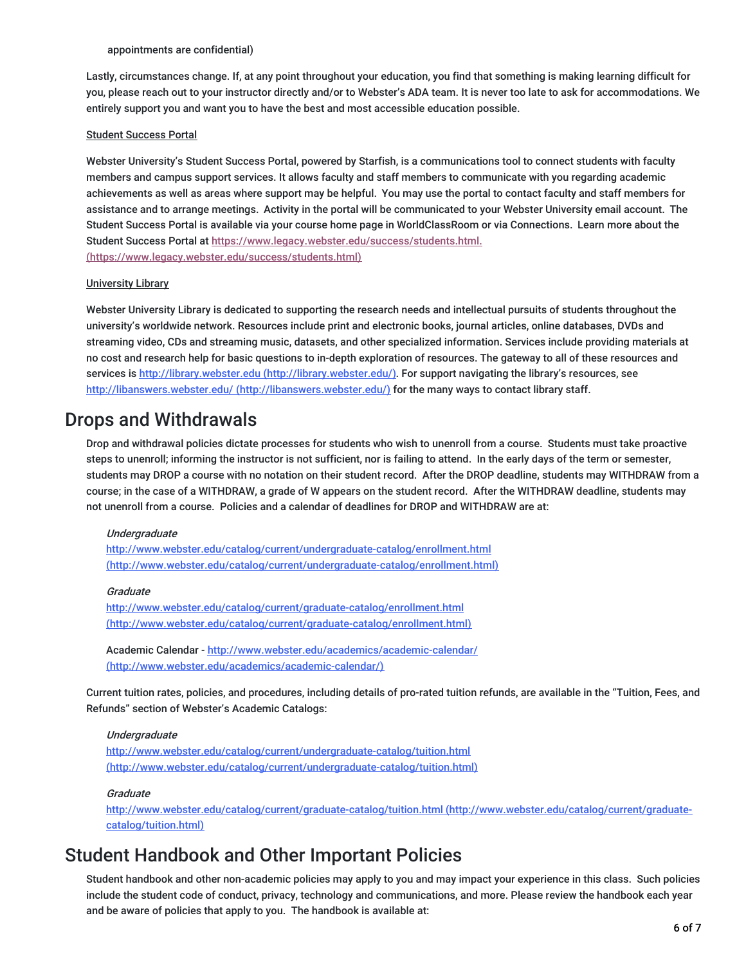#### appointments are confidential)

Lastly, circumstances change. If, at any point throughout your education, you find that something is making learning difficult for you, please reach out to your instructor directly and/or to Webster's ADA team. It is never too late to ask for accommodations. We entirely support you and want you to have the best and most accessible education possible.

#### Student Success Portal

Webster University's Student Success Portal, powered by Starfish, is a communications tool to connect students with faculty members and campus support services. It allows faculty and staff members to communicate with you regarding academic achievements as well as areas where support may be helpful. You may use the portal to contact faculty and staff members for assistance and to arrange meetings. Activity in the portal will be communicated to your Webster University email account. The Student Success Portal is available via your course home page in WorldClassRoom or via Connections. Learn more about the Student Success Portal at https://www.legacy.webster.edu/success/students.html. [\(https://www.legacy.webster.edu/success/students.html\)](https://www.legacy.webster.edu/success/students.html)

#### University Library

Webster University Library is dedicated to supporting the research needs and intellectual pursuits of students throughout the university's worldwide network. Resources include print and electronic books, journal articles, online databases, DVDs and streaming video, CDs and streaming music, datasets, and other specialized information. Services include providing materials at no cost and research help for basic questions to in-depth exploration of resources. The gateway to all of these resources and services is http://library.webster.edu [\(http://library.webster.edu/\)](http://library.webster.edu/). For support navigating the library's resources, see http://libanswers.webster.edu/ [\(http://libanswers.webster.edu/\)](http://libanswers.webster.edu/) for the many ways to contact library staff.

### Drops and Withdrawals

Drop and withdrawal policies dictate processes for students who wish to unenroll from a course. Students must take proactive steps to unenroll; informing the instructor is not sufficient, nor is failing to attend. In the early days of the term or semester, students may DROP a course with no notation on their student record. After the DROP deadline, students may WITHDRAW from a course; in the case of a WITHDRAW, a grade of W appears on the student record. After the WITHDRAW deadline, students may not unenroll from a course. Policies and a calendar of deadlines for DROP and WITHDRAW are at:

#### **Underaraduate**

http://www.webster.edu/catalog/current/undergraduate-catalog/enrollment.html [\(http://www.webster.edu/catalog/current/undergraduate-catalog/enrollment.html\)](http://www.webster.edu/catalog/current/undergraduate-catalog/enrollment.html)

#### **Graduate**

http://www.webster.edu/catalog/current/graduate-catalog/enrollment.html [\(http://www.webster.edu/catalog/current/graduate-catalog/enrollment.html\)](http://www.webster.edu/catalog/current/graduate-catalog/enrollment.html)

Academic Calendar - <http://www.webster.edu/academics/academic-calendar/> (http://www.webster.edu/academics/academic-calendar/)

Current tuition rates, policies, and procedures, including details of pro-rated tuition refunds, are available in the "Tuition, Fees, and Refunds" section of Webster's Academic Catalogs:

#### **Undergraduate**

<http://www.webster.edu/catalog/current/undergraduate-catalog/tuition.html> (http://www.webster.edu/catalog/current/undergraduate-catalog/tuition.html)

#### Graduate

<http://www.webster.edu/catalog/current/graduate-catalog/tuition.html> (http://www.webster.edu/catalog/current/graduatecatalog/tuition.html)

### Student Handbook and Other Important Policies

Student handbook and other non-academic policies may apply to you and may impact your experience in this class. Such policies include the student code of conduct, privacy, technology and communications, and more. Please review the handbook each year and be aware of policies that apply to you. The handbook is available at: